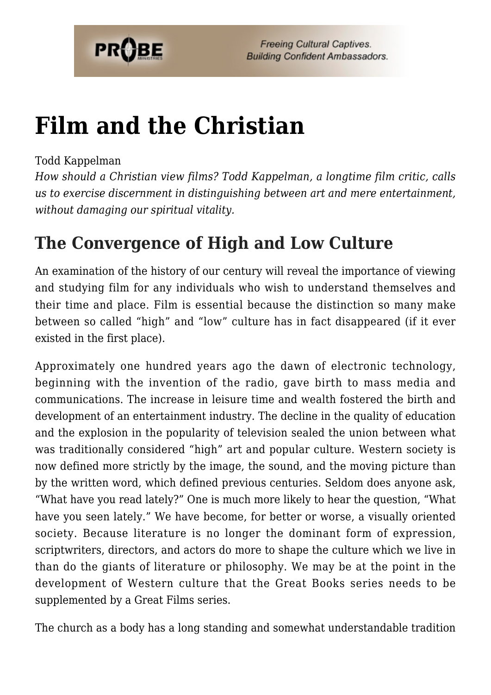

# **[Film and the Christian](https://probe.org/film-and-the-christian/)**

#### Todd Kappelman

*How should a Christian view films? Todd Kappelman, a longtime film critic, calls us to exercise discernment in distinguishing between art and mere entertainment, without damaging our spiritual vitality.*

#### **The Convergence of High and Low Culture**

An examination of the history of our century will reveal the importance of viewing and studying film for any individuals who wish to understand themselves and their time and place. Film is essential because the distinction so many make between so called "high" and "low" culture has in fact disappeared (if it ever existed in the first place).

Approximately one hundred years ago the dawn of electronic technology, beginning with the invention of the radio, gave birth to mass media and communications. The increase in leisure time and wealth fostered the birth and development of an entertainment industry. The decline in the quality of education and the explosion in the popularity of television sealed the union between what was traditionally considered "high" art and popular culture. Western society is now defined more strictly by the image, the sound, and the moving picture than by the written word, which defined previous centuries. Seldom does anyone ask, "What have you read lately?" One is much more likely to hear the question, "What have you seen lately." We have become, for better or worse, a visually oriented society. Because literature is no longer the dominant form of expression, scriptwriters, directors, and actors do more to shape the culture which we live in than do the giants of literature or philosophy. We may be at the point in the development of Western culture that the Great Books series needs to be supplemented by a Great Films series.

The church as a body has a long standing and somewhat understandable tradition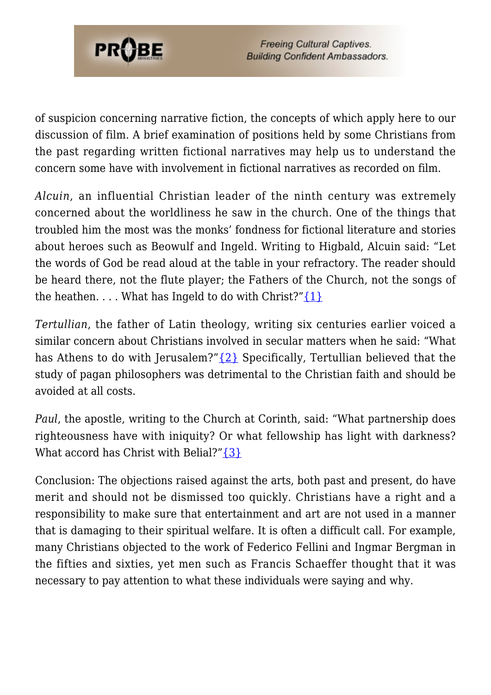

of suspicion concerning narrative fiction, the concepts of which apply here to our discussion of film. A brief examination of positions held by some Christians from the past regarding written fictional narratives may help us to understand the concern some have with involvement in fictional narratives as recorded on film.

*Alcuin*, an influential Christian leader of the ninth century was extremely concerned about the worldliness he saw in the church. One of the things that troubled him the most was the monks' fondness for fictional literature and stories about heroes such as Beowulf and Ingeld. Writing to Higbald, Alcuin said: "Let the words of God be read aloud at the table in your refractory. The reader should be heard there, not the flute player; the Fathers of the Church, not the songs of the heathen.  $\dots$  What has Ingeld to do with Christ?" $\{1\}$ 

*Tertullian*, the father of Latin theology, writing six centuries earlier voiced a similar concern about Christians involved in secular matters when he said: "What has Athens to do with Jerusalem?["{2}](#page-10-1) Specifically, Tertullian believed that the study of pagan philosophers was detrimental to the Christian faith and should be avoided at all costs.

*Paul*, the apostle, writing to the Church at Corinth, said: "What partnership does righteousness have with iniquity? Or what fellowship has light with darkness? What accord has Christ with Belial?" $\{3\}$ 

Conclusion: The objections raised against the arts, both past and present, do have merit and should not be dismissed too quickly. Christians have a right and a responsibility to make sure that entertainment and art are not used in a manner that is damaging to their spiritual welfare. It is often a difficult call. For example, many Christians objected to the work of Federico Fellini and Ingmar Bergman in the fifties and sixties, yet men such as Francis Schaeffer thought that it was necessary to pay attention to what these individuals were saying and why.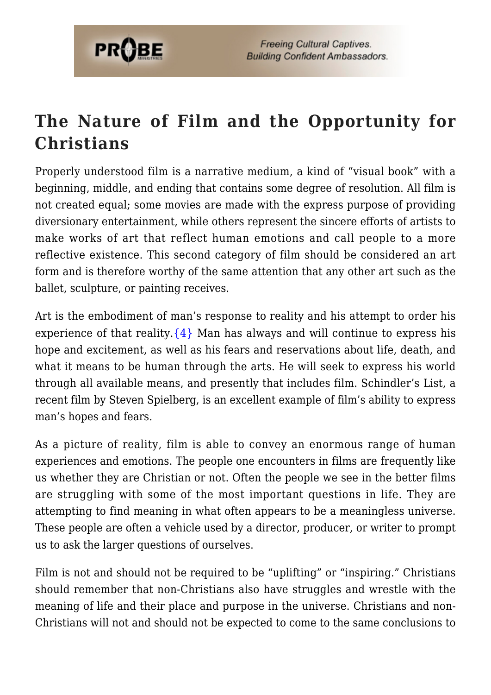

## **The Nature of Film and the Opportunity for Christians**

Properly understood film is a narrative medium, a kind of "visual book" with a beginning, middle, and ending that contains some degree of resolution. All film is not created equal; some movies are made with the express purpose of providing diversionary entertainment, while others represent the sincere efforts of artists to make works of art that reflect human emotions and call people to a more reflective existence. This second category of film should be considered an art form and is therefore worthy of the same attention that any other art such as the ballet, sculpture, or painting receives.

Art is the embodiment of man's response to reality and his attempt to order his experience of that reality. $\{4\}$  Man has always and will continue to express his hope and excitement, as well as his fears and reservations about life, death, and what it means to be human through the arts. He will seek to express his world through all available means, and presently that includes film. Schindler's List, a recent film by Steven Spielberg, is an excellent example of film's ability to express man's hopes and fears.

As a picture of reality, film is able to convey an enormous range of human experiences and emotions. The people one encounters in films are frequently like us whether they are Christian or not. Often the people we see in the better films are struggling with some of the most important questions in life. They are attempting to find meaning in what often appears to be a meaningless universe. These people are often a vehicle used by a director, producer, or writer to prompt us to ask the larger questions of ourselves.

Film is not and should not be required to be "uplifting" or "inspiring." Christians should remember that non-Christians also have struggles and wrestle with the meaning of life and their place and purpose in the universe. Christians and non-Christians will not and should not be expected to come to the same conclusions to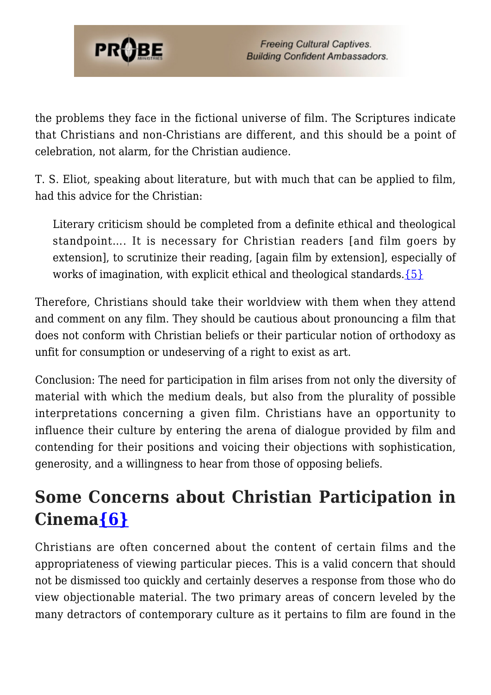

the problems they face in the fictional universe of film. The Scriptures indicate that Christians and non-Christians are different, and this should be a point of celebration, not alarm, for the Christian audience.

T. S. Eliot, speaking about literature, but with much that can be applied to film, had this advice for the Christian:

Literary criticism should be completed from a definite ethical and theological standpoint…. It is necessary for Christian readers [and film goers by extension], to scrutinize their reading, [again film by extension], especially of works of imagination, with explicit ethical and theological standards.  $\{5\}$ 

Therefore, Christians should take their worldview with them when they attend and comment on any film. They should be cautious about pronouncing a film that does not conform with Christian beliefs or their particular notion of orthodoxy as unfit for consumption or undeserving of a right to exist as art.

Conclusion: The need for participation in film arises from not only the diversity of material with which the medium deals, but also from the plurality of possible interpretations concerning a given film. Christians have an opportunity to influence their culture by entering the arena of dialogue provided by film and contending for their positions and voicing their objections with sophistication, generosity, and a willingness to hear from those of opposing beliefs.

## **Some Concerns about Christian Participation in Cinema[{6}](#page-10-5)**

Christians are often concerned about the content of certain films and the appropriateness of viewing particular pieces. This is a valid concern that should not be dismissed too quickly and certainly deserves a response from those who do view objectionable material. The two primary areas of concern leveled by the many detractors of contemporary culture as it pertains to film are found in the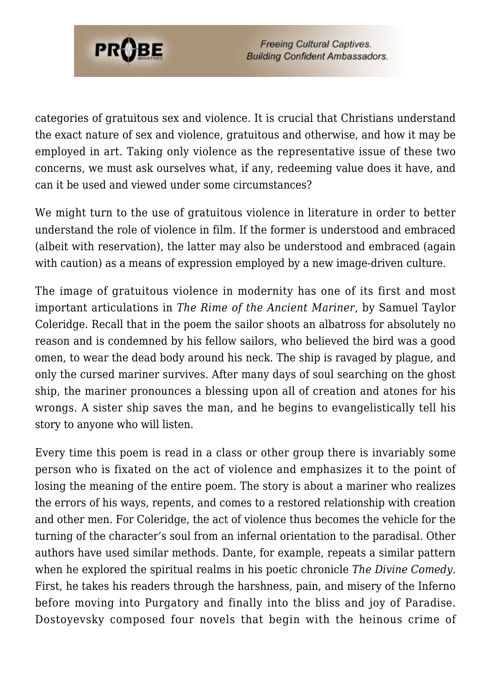

categories of gratuitous sex and violence. It is crucial that Christians understand the exact nature of sex and violence, gratuitous and otherwise, and how it may be employed in art. Taking only violence as the representative issue of these two concerns, we must ask ourselves what, if any, redeeming value does it have, and can it be used and viewed under some circumstances?

We might turn to the use of gratuitous violence in literature in order to better understand the role of violence in film. If the former is understood and embraced (albeit with reservation), the latter may also be understood and embraced (again with caution) as a means of expression employed by a new image-driven culture.

The image of gratuitous violence in modernity has one of its first and most important articulations in *The Rime of the Ancient Mariner*, by Samuel Taylor Coleridge. Recall that in the poem the sailor shoots an albatross for absolutely no reason and is condemned by his fellow sailors, who believed the bird was a good omen, to wear the dead body around his neck. The ship is ravaged by plague, and only the cursed mariner survives. After many days of soul searching on the ghost ship, the mariner pronounces a blessing upon all of creation and atones for his wrongs. A sister ship saves the man, and he begins to evangelistically tell his story to anyone who will listen.

Every time this poem is read in a class or other group there is invariably some person who is fixated on the act of violence and emphasizes it to the point of losing the meaning of the entire poem. The story is about a mariner who realizes the errors of his ways, repents, and comes to a restored relationship with creation and other men. For Coleridge, the act of violence thus becomes the vehicle for the turning of the character's soul from an infernal orientation to the paradisal. Other authors have used similar methods. Dante, for example, repeats a similar pattern when he explored the spiritual realms in his poetic chronicle *The Divine Comedy*. First, he takes his readers through the harshness, pain, and misery of the Inferno before moving into Purgatory and finally into the bliss and joy of Paradise. Dostoyevsky composed four novels that begin with the heinous crime of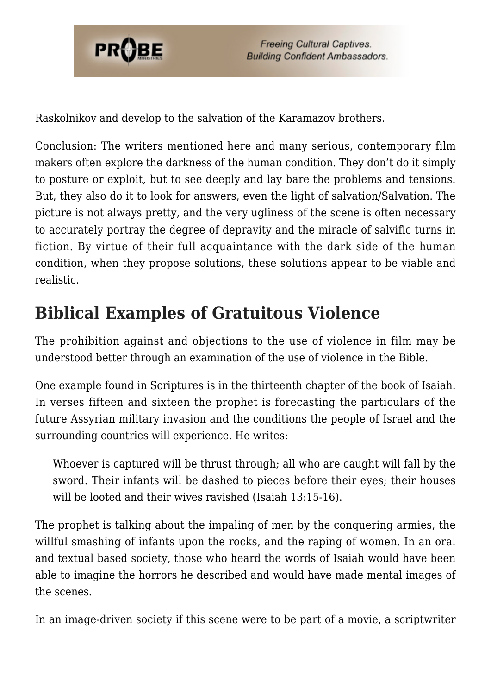

Raskolnikov and develop to the salvation of the Karamazov brothers.

Conclusion: The writers mentioned here and many serious, contemporary film makers often explore the darkness of the human condition. They don't do it simply to posture or exploit, but to see deeply and lay bare the problems and tensions. But, they also do it to look for answers, even the light of salvation/Salvation. The picture is not always pretty, and the very ugliness of the scene is often necessary to accurately portray the degree of depravity and the miracle of salvific turns in fiction. By virtue of their full acquaintance with the dark side of the human condition, when they propose solutions, these solutions appear to be viable and realistic.

## **Biblical Examples of Gratuitous Violence**

The prohibition against and objections to the use of violence in film may be understood better through an examination of the use of violence in the Bible.

One example found in Scriptures is in the thirteenth chapter of the book of Isaiah. In verses fifteen and sixteen the prophet is forecasting the particulars of the future Assyrian military invasion and the conditions the people of Israel and the surrounding countries will experience. He writes:

Whoever is captured will be thrust through; all who are caught will fall by the sword. Their infants will be dashed to pieces before their eyes; their houses will be looted and their wives ravished (Isaiah 13:15-16).

The prophet is talking about the impaling of men by the conquering armies, the willful smashing of infants upon the rocks, and the raping of women. In an oral and textual based society, those who heard the words of Isaiah would have been able to imagine the horrors he described and would have made mental images of the scenes.

In an image-driven society if this scene were to be part of a movie, a scriptwriter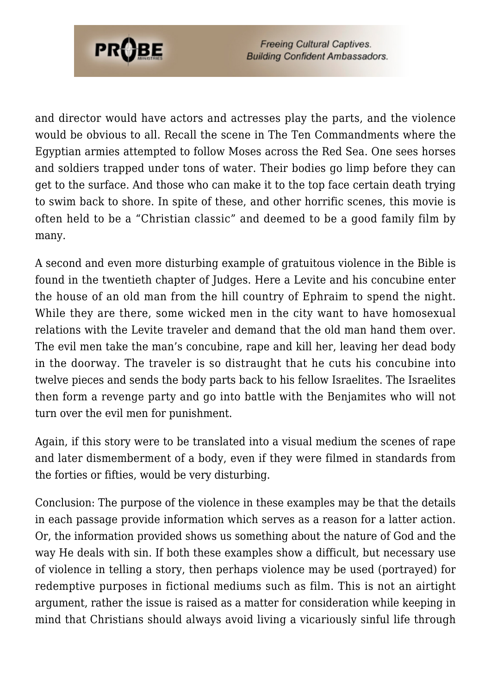

and director would have actors and actresses play the parts, and the violence would be obvious to all. Recall the scene in The Ten Commandments where the Egyptian armies attempted to follow Moses across the Red Sea. One sees horses and soldiers trapped under tons of water. Their bodies go limp before they can get to the surface. And those who can make it to the top face certain death trying to swim back to shore. In spite of these, and other horrific scenes, this movie is often held to be a "Christian classic" and deemed to be a good family film by many.

A second and even more disturbing example of gratuitous violence in the Bible is found in the twentieth chapter of Judges. Here a Levite and his concubine enter the house of an old man from the hill country of Ephraim to spend the night. While they are there, some wicked men in the city want to have homosexual relations with the Levite traveler and demand that the old man hand them over. The evil men take the man's concubine, rape and kill her, leaving her dead body in the doorway. The traveler is so distraught that he cuts his concubine into twelve pieces and sends the body parts back to his fellow Israelites. The Israelites then form a revenge party and go into battle with the Benjamites who will not turn over the evil men for punishment.

Again, if this story were to be translated into a visual medium the scenes of rape and later dismemberment of a body, even if they were filmed in standards from the forties or fifties, would be very disturbing.

Conclusion: The purpose of the violence in these examples may be that the details in each passage provide information which serves as a reason for a latter action. Or, the information provided shows us something about the nature of God and the way He deals with sin. If both these examples show a difficult, but necessary use of violence in telling a story, then perhaps violence may be used (portrayed) for redemptive purposes in fictional mediums such as film. This is not an airtight argument, rather the issue is raised as a matter for consideration while keeping in mind that Christians should always avoid living a vicariously sinful life through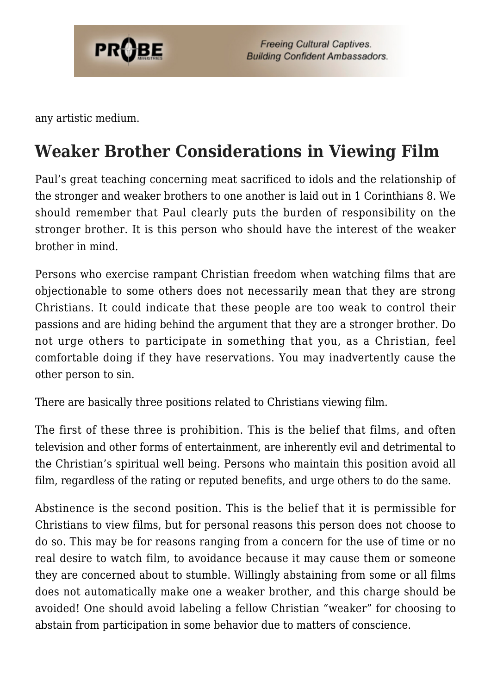

any artistic medium.

### **Weaker Brother Considerations in Viewing Film**

Paul's great teaching concerning meat sacrificed to idols and the relationship of the stronger and weaker brothers to one another is laid out in 1 Corinthians 8. We should remember that Paul clearly puts the burden of responsibility on the stronger brother. It is this person who should have the interest of the weaker brother in mind.

Persons who exercise rampant Christian freedom when watching films that are objectionable to some others does not necessarily mean that they are strong Christians. It could indicate that these people are too weak to control their passions and are hiding behind the argument that they are a stronger brother. Do not urge others to participate in something that you, as a Christian, feel comfortable doing if they have reservations. You may inadvertently cause the other person to sin.

There are basically three positions related to Christians viewing film.

The first of these three is prohibition. This is the belief that films, and often television and other forms of entertainment, are inherently evil and detrimental to the Christian's spiritual well being. Persons who maintain this position avoid all film, regardless of the rating or reputed benefits, and urge others to do the same.

Abstinence is the second position. This is the belief that it is permissible for Christians to view films, but for personal reasons this person does not choose to do so. This may be for reasons ranging from a concern for the use of time or no real desire to watch film, to avoidance because it may cause them or someone they are concerned about to stumble. Willingly abstaining from some or all films does not automatically make one a weaker brother, and this charge should be avoided! One should avoid labeling a fellow Christian "weaker" for choosing to abstain from participation in some behavior due to matters of conscience.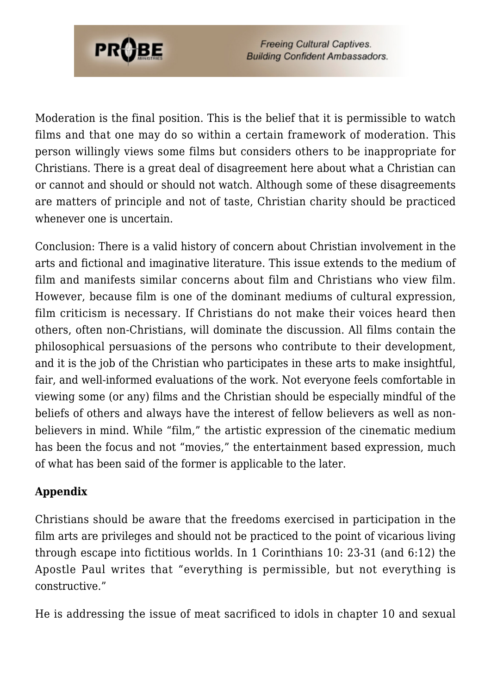

Moderation is the final position. This is the belief that it is permissible to watch films and that one may do so within a certain framework of moderation. This person willingly views some films but considers others to be inappropriate for Christians. There is a great deal of disagreement here about what a Christian can or cannot and should or should not watch. Although some of these disagreements are matters of principle and not of taste, Christian charity should be practiced whenever one is uncertain.

Conclusion: There is a valid history of concern about Christian involvement in the arts and fictional and imaginative literature. This issue extends to the medium of film and manifests similar concerns about film and Christians who view film. However, because film is one of the dominant mediums of cultural expression, film criticism is necessary. If Christians do not make their voices heard then others, often non-Christians, will dominate the discussion. All films contain the philosophical persuasions of the persons who contribute to their development, and it is the job of the Christian who participates in these arts to make insightful, fair, and well-informed evaluations of the work. Not everyone feels comfortable in viewing some (or any) films and the Christian should be especially mindful of the beliefs of others and always have the interest of fellow believers as well as nonbelievers in mind. While "film," the artistic expression of the cinematic medium has been the focus and not "movies," the entertainment based expression, much of what has been said of the former is applicable to the later.

#### **Appendix**

Christians should be aware that the freedoms exercised in participation in the film arts are privileges and should not be practiced to the point of vicarious living through escape into fictitious worlds. In 1 Corinthians 10: 23-31 (and 6:12) the Apostle Paul writes that "everything is permissible, but not everything is constructive."

He is addressing the issue of meat sacrificed to idols in chapter 10 and sexual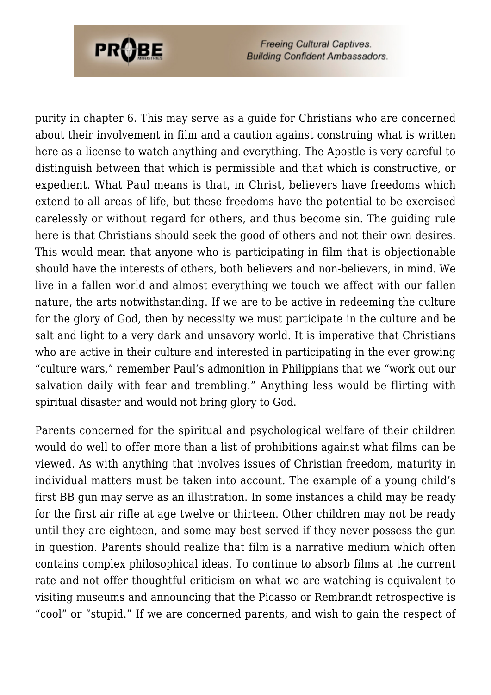

purity in chapter 6. This may serve as a guide for Christians who are concerned about their involvement in film and a caution against construing what is written here as a license to watch anything and everything. The Apostle is very careful to distinguish between that which is permissible and that which is constructive, or expedient. What Paul means is that, in Christ, believers have freedoms which extend to all areas of life, but these freedoms have the potential to be exercised carelessly or without regard for others, and thus become sin. The guiding rule here is that Christians should seek the good of others and not their own desires. This would mean that anyone who is participating in film that is objectionable should have the interests of others, both believers and non-believers, in mind. We live in a fallen world and almost everything we touch we affect with our fallen nature, the arts notwithstanding. If we are to be active in redeeming the culture for the glory of God, then by necessity we must participate in the culture and be salt and light to a very dark and unsavory world. It is imperative that Christians who are active in their culture and interested in participating in the ever growing "culture wars," remember Paul's admonition in Philippians that we "work out our salvation daily with fear and trembling." Anything less would be flirting with spiritual disaster and would not bring glory to God.

Parents concerned for the spiritual and psychological welfare of their children would do well to offer more than a list of prohibitions against what films can be viewed. As with anything that involves issues of Christian freedom, maturity in individual matters must be taken into account. The example of a young child's first BB gun may serve as an illustration. In some instances a child may be ready for the first air rifle at age twelve or thirteen. Other children may not be ready until they are eighteen, and some may best served if they never possess the gun in question. Parents should realize that film is a narrative medium which often contains complex philosophical ideas. To continue to absorb films at the current rate and not offer thoughtful criticism on what we are watching is equivalent to visiting museums and announcing that the Picasso or Rembrandt retrospective is "cool" or "stupid." If we are concerned parents, and wish to gain the respect of